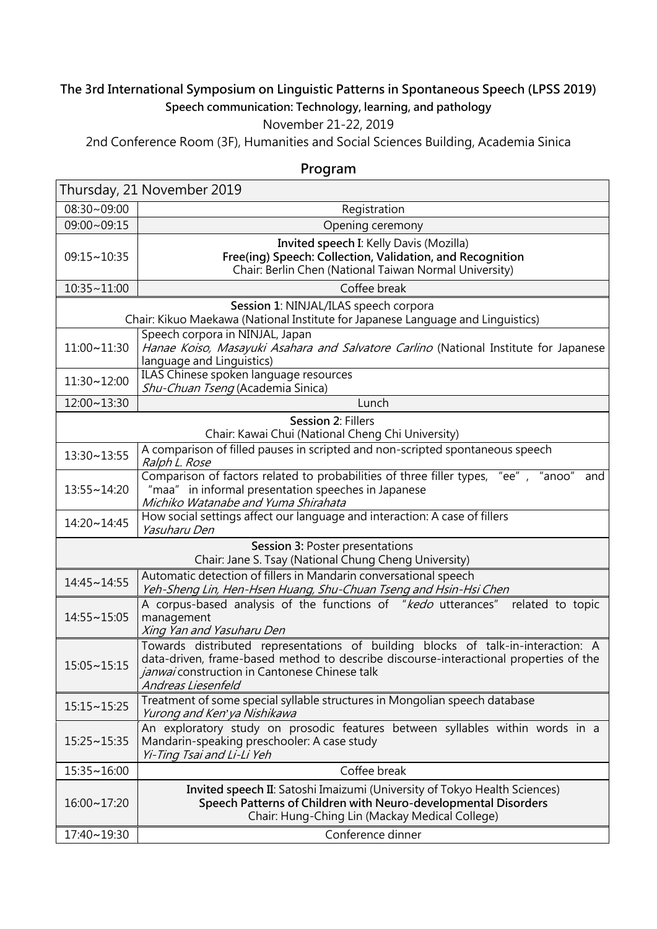## **The 3rd International Symposium on Linguistic Patterns in Spontaneous Speech (LPSS 2019) Speech communication: Technology, learning, and pathology**

## November 21-22, 2019

2nd Conference Room (3F), Humanities and Social Sciences Building, Academia Sinica

## **Program**

| Thursday, 21 November 2019                                                                                               |                                                                                                                                                                                                                                                  |  |  |  |
|--------------------------------------------------------------------------------------------------------------------------|--------------------------------------------------------------------------------------------------------------------------------------------------------------------------------------------------------------------------------------------------|--|--|--|
| 08:30~09:00                                                                                                              | Registration                                                                                                                                                                                                                                     |  |  |  |
| 09:00~09:15                                                                                                              | Opening ceremony                                                                                                                                                                                                                                 |  |  |  |
| 09:15~10:35                                                                                                              | Invited speech I: Kelly Davis (Mozilla)<br>Free(ing) Speech: Collection, Validation, and Recognition<br>Chair: Berlin Chen (National Taiwan Normal University)                                                                                   |  |  |  |
| 10:35~11:00                                                                                                              | Coffee break                                                                                                                                                                                                                                     |  |  |  |
| Session 1: NINJAL/ILAS speech corpora<br>Chair: Kikuo Maekawa (National Institute for Japanese Language and Linguistics) |                                                                                                                                                                                                                                                  |  |  |  |
| 11:00~11:30                                                                                                              | Speech corpora in NINJAL, Japan<br>Hanae Koiso, Masayuki Asahara and Salvatore Carlino (National Institute for Japanese<br>language and Linguistics)                                                                                             |  |  |  |
| 11:30~12:00                                                                                                              | ILAS Chinese spoken language resources<br>Shu-Chuan Tseng (Academia Sinica)                                                                                                                                                                      |  |  |  |
| 12:00~13:30                                                                                                              | Lunch                                                                                                                                                                                                                                            |  |  |  |
| Session 2: Fillers<br>Chair: Kawai Chui (National Cheng Chi University)                                                  |                                                                                                                                                                                                                                                  |  |  |  |
| 13:30~13:55                                                                                                              | A comparison of filled pauses in scripted and non-scripted spontaneous speech<br>Ralph L. Rose                                                                                                                                                   |  |  |  |
| 13:55~14:20                                                                                                              | Comparison of factors related to probabilities of three filler types, "ee", "anoo"<br>and<br>"maa" in informal presentation speeches in Japanese<br>Michiko Watanabe and Yuma Shirahata                                                          |  |  |  |
| 14:20~14:45                                                                                                              | How social settings affect our language and interaction: A case of fillers<br>Yasuharu Den                                                                                                                                                       |  |  |  |
| Session 3: Poster presentations<br>Chair: Jane S. Tsay (National Chung Cheng University)                                 |                                                                                                                                                                                                                                                  |  |  |  |
| 14:45~14:55                                                                                                              | Automatic detection of fillers in Mandarin conversational speech<br>Yeh-Sheng Lin, Hen-Hsen Huang, Shu-Chuan Tseng and Hsin-Hsi Chen                                                                                                             |  |  |  |
| 14:55~15:05                                                                                                              | A corpus-based analysis of the functions of "kedo utterances"<br>related to topic<br>management<br>Xing Yan and Yasuharu Den                                                                                                                     |  |  |  |
| $15:05 \sim 15:15$                                                                                                       | Towards distributed representations of building blocks of talk-in-interaction: A<br>data-driven, frame-based method to describe discourse-interactional properties of the<br>janwaj construction in Cantonese Chinese talk<br>Andreas Liesenfeld |  |  |  |
| 15:15~15:25                                                                                                              | Treatment of some special syllable structures in Mongolian speech database<br>Yurong and Ken'ya Nishikawa                                                                                                                                        |  |  |  |
| $15:25 \sim 15:35$                                                                                                       | An exploratory study on prosodic features between syllables within words in a<br>Mandarin-speaking preschooler: A case study<br>Yi-Ting Tsai and Li-Li Yeh                                                                                       |  |  |  |
| 15:35~16:00                                                                                                              | Coffee break                                                                                                                                                                                                                                     |  |  |  |
| 16:00~17:20                                                                                                              | Invited speech II: Satoshi Imaizumi (University of Tokyo Health Sciences)<br>Speech Patterns of Children with Neuro-developmental Disorders<br>Chair: Hung-Ching Lin (Mackay Medical College)                                                    |  |  |  |
| 17:40~19:30                                                                                                              | Conference dinner                                                                                                                                                                                                                                |  |  |  |